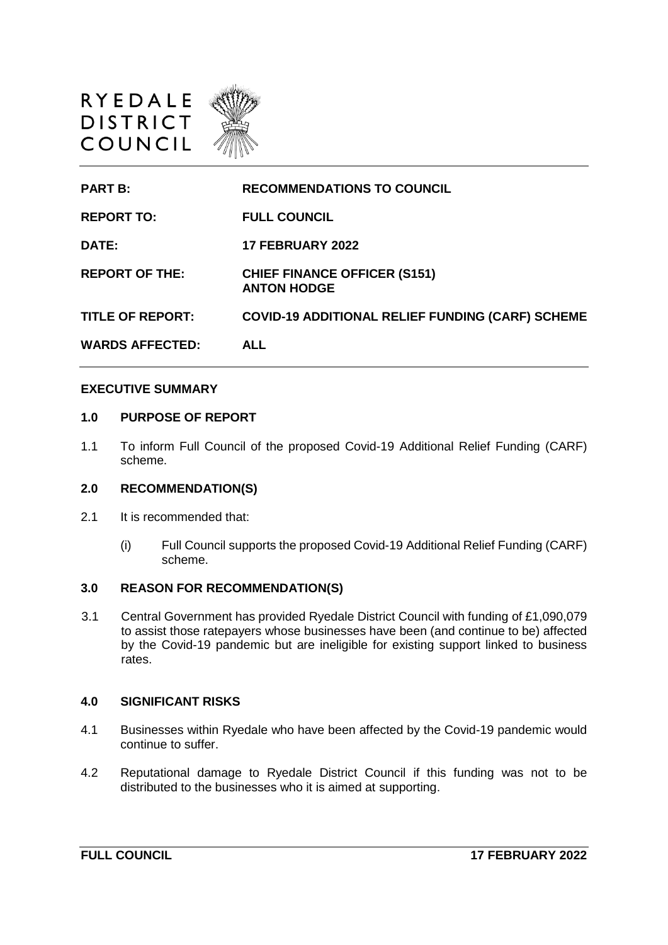



### **EXECUTIVE SUMMARY**

### **1.0 PURPOSE OF REPORT**

1.1 To inform Full Council of the proposed Covid-19 Additional Relief Funding (CARF) scheme.

#### **2.0 RECOMMENDATION(S)**

- 2.1 It is recommended that:
	- (i) Full Council supports the proposed Covid-19 Additional Relief Funding (CARF) scheme.

#### **3.0 REASON FOR RECOMMENDATION(S)**

3.1 Central Government has provided Ryedale District Council with funding of £1,090,079 to assist those ratepayers whose businesses have been (and continue to be) affected by the Covid-19 pandemic but are ineligible for existing support linked to business rates.

#### **4.0 SIGNIFICANT RISKS**

- 4.1 Businesses within Ryedale who have been affected by the Covid-19 pandemic would continue to suffer.
- 4.2 Reputational damage to Ryedale District Council if this funding was not to be distributed to the businesses who it is aimed at supporting.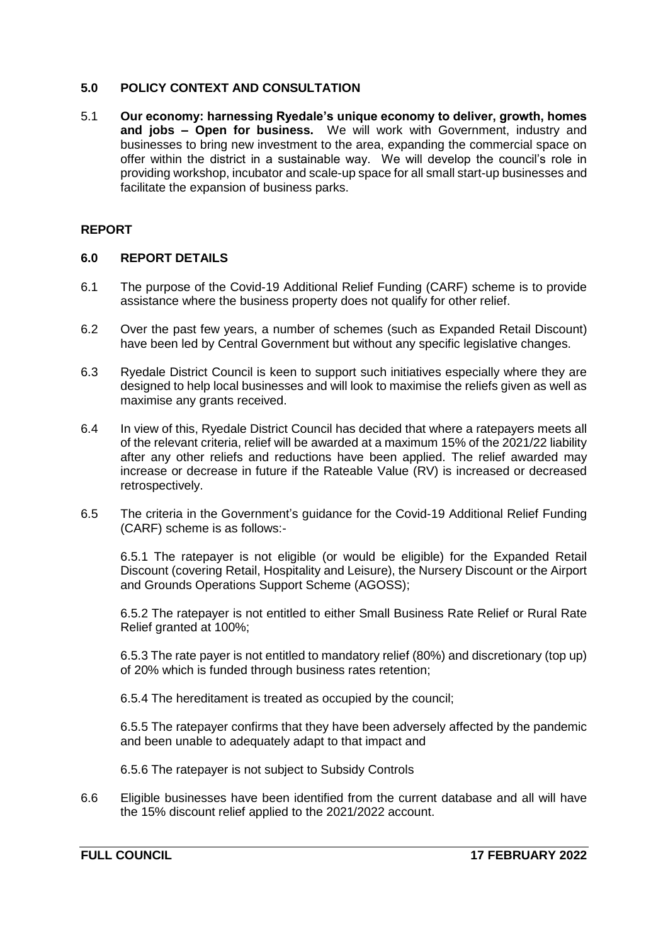## **5.0 POLICY CONTEXT AND CONSULTATION**

5.1 **Our economy: harnessing Ryedale's unique economy to deliver, growth, homes and jobs – Open for business.** We will work with Government, industry and businesses to bring new investment to the area, expanding the commercial space on offer within the district in a sustainable way. We will develop the council's role in providing workshop, incubator and scale-up space for all small start-up businesses and facilitate the expansion of business parks.

## **REPORT**

## **6.0 REPORT DETAILS**

- 6.1 The purpose of the Covid-19 Additional Relief Funding (CARF) scheme is to provide assistance where the business property does not qualify for other relief.
- 6.2 Over the past few years, a number of schemes (such as Expanded Retail Discount) have been led by Central Government but without any specific legislative changes.
- 6.3 Ryedale District Council is keen to support such initiatives especially where they are designed to help local businesses and will look to maximise the reliefs given as well as maximise any grants received.
- 6.4 In view of this, Ryedale District Council has decided that where a ratepayers meets all of the relevant criteria, relief will be awarded at a maximum 15% of the 2021/22 liability after any other reliefs and reductions have been applied. The relief awarded may increase or decrease in future if the Rateable Value (RV) is increased or decreased retrospectively.
- 6.5 The criteria in the Government's guidance for the Covid-19 Additional Relief Funding (CARF) scheme is as follows:-

6.5.1 The ratepayer is not eligible (or would be eligible) for the Expanded Retail Discount (covering Retail, Hospitality and Leisure), the Nursery Discount or the Airport and Grounds Operations Support Scheme (AGOSS);

6.5.2 The ratepayer is not entitled to either Small Business Rate Relief or Rural Rate Relief granted at 100%;

6.5.3 The rate payer is not entitled to mandatory relief (80%) and discretionary (top up) of 20% which is funded through business rates retention;

6.5.4 The hereditament is treated as occupied by the council;

6.5.5 The ratepayer confirms that they have been adversely affected by the pandemic and been unable to adequately adapt to that impact and

6.5.6 The ratepayer is not subject to Subsidy Controls

6.6 Eligible businesses have been identified from the current database and all will have the 15% discount relief applied to the 2021/2022 account.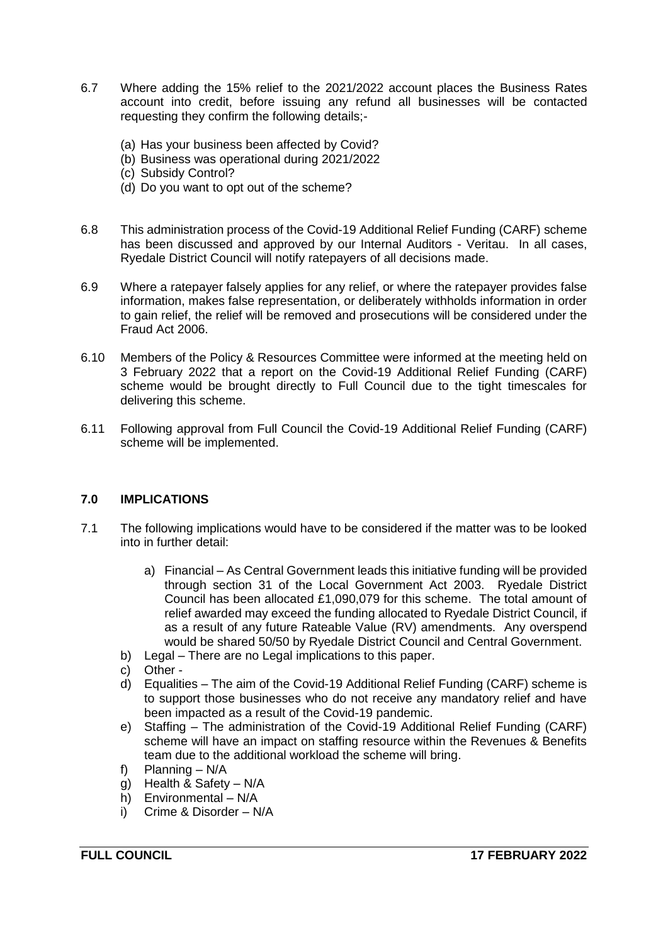- 6.7 Where adding the 15% relief to the 2021/2022 account places the Business Rates account into credit, before issuing any refund all businesses will be contacted requesting they confirm the following details;-
	- (a) Has your business been affected by Covid?
	- (b) Business was operational during 2021/2022
	- (c) Subsidy Control?
	- (d) Do you want to opt out of the scheme?
- 6.8 This administration process of the Covid-19 Additional Relief Funding (CARF) scheme has been discussed and approved by our Internal Auditors - Veritau. In all cases, Ryedale District Council will notify ratepayers of all decisions made.
- 6.9 Where a ratepayer falsely applies for any relief, or where the ratepayer provides false information, makes false representation, or deliberately withholds information in order to gain relief, the relief will be removed and prosecutions will be considered under the Fraud Act 2006.
- 6.10 Members of the Policy & Resources Committee were informed at the meeting held on 3 February 2022 that a report on the Covid-19 Additional Relief Funding (CARF) scheme would be brought directly to Full Council due to the tight timescales for delivering this scheme.
- 6.11 Following approval from Full Council the Covid-19 Additional Relief Funding (CARF) scheme will be implemented.

## **7.0 IMPLICATIONS**

- 7.1 The following implications would have to be considered if the matter was to be looked into in further detail:
	- a) Financial As Central Government leads this initiative funding will be provided through section 31 of the Local Government Act 2003. Ryedale District Council has been allocated £1,090,079 for this scheme. The total amount of relief awarded may exceed the funding allocated to Ryedale District Council, if as a result of any future Rateable Value (RV) amendments. Any overspend would be shared 50/50 by Ryedale District Council and Central Government.
	- b) Legal There are no Legal implications to this paper.
	- c) Other -
	- d) Equalities The aim of the Covid-19 Additional Relief Funding (CARF) scheme is to support those businesses who do not receive any mandatory relief and have been impacted as a result of the Covid-19 pandemic.
	- e) Staffing The administration of the Covid-19 Additional Relief Funding (CARF) scheme will have an impact on staffing resource within the Revenues & Benefits team due to the additional workload the scheme will bring.
	- f) Planning N/A
	- g) Health & Safety N/A
	- h) Environmental N/A
	- i) Crime & Disorder N/A